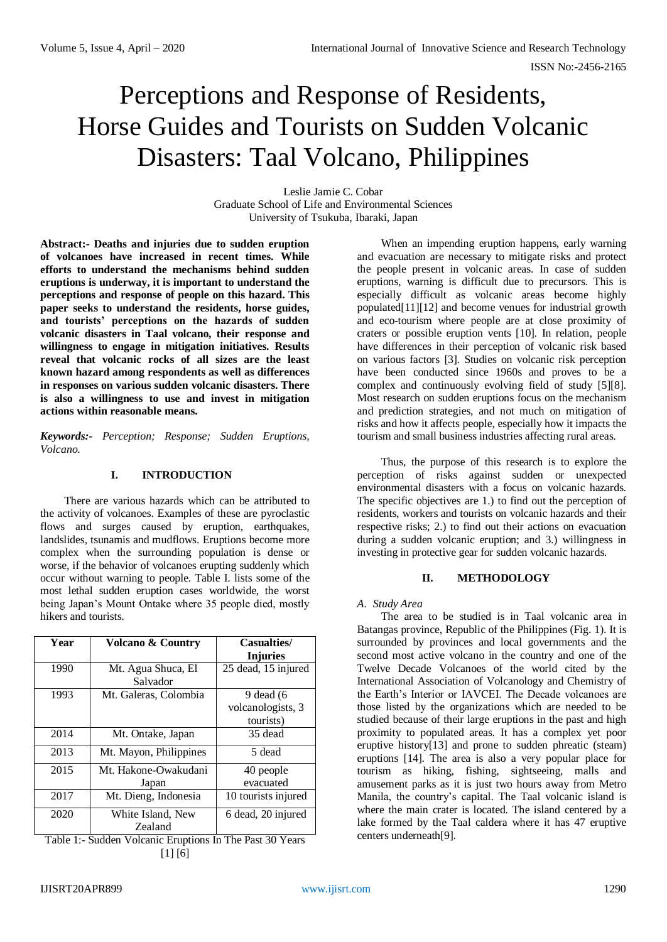# Perceptions and Response of Residents, Horse Guides and Tourists on Sudden Volcanic Disasters: Taal Volcano, Philippines

Leslie Jamie C. Cobar Graduate School of Life and Environmental Sciences University of Tsukuba, Ibaraki, Japan

**Abstract:- Deaths and injuries due to sudden eruption of volcanoes have increased in recent times. While efforts to understand the mechanisms behind sudden eruptions is underway, it is important to understand the perceptions and response of people on this hazard. This paper seeks to understand the residents, horse guides, and tourists' perceptions on the hazards of sudden volcanic disasters in Taal volcano, their response and willingness to engage in mitigation initiatives. Results reveal that volcanic rocks of all sizes are the least known hazard among respondents as well as differences in responses on various sudden volcanic disasters. There is also a willingness to use and invest in mitigation actions within reasonable means.**

*Keywords:- Perception; Response; Sudden Eruptions, Volcano.*

## **I. INTRODUCTION**

There are various hazards which can be attributed to the activity of volcanoes. Examples of these are pyroclastic flows and surges caused by eruption, earthquakes, landslides, tsunamis and mudflows. Eruptions become more complex when the surrounding population is dense or worse, if the behavior of volcanoes erupting suddenly which occur without warning to people. Table I. lists some of the most lethal sudden eruption cases worldwide, the worst being Japan's Mount Ontake where 35 people died, mostly hikers and tourists.

| <b>Volcano &amp; Country</b>   | Casualties/<br><b>Injuries</b>                         |
|--------------------------------|--------------------------------------------------------|
| Mt. Agua Shuca, El<br>Salvador | 25 dead, 15 injured                                    |
| Mt. Galeras, Colombia          | $9$ dead $(6)$                                         |
|                                | volcanologists, 3                                      |
|                                | tourists)                                              |
| Mt. Ontake, Japan              | 35 dead                                                |
| Mt. Mayon, Philippines         | 5 dead                                                 |
| Mt. Hakone-Owakudani           | 40 people                                              |
| Japan                          | evacuated                                              |
| Mt. Dieng, Indonesia           | 10 tourists injured                                    |
| White Island, New              | 6 dead, 20 injured                                     |
| Zealand                        |                                                        |
|                                | Takla 1. Puddan Valaania Emmissaa La Tha Daat 20 Vaana |

Table 1:- Sudden Volcanic Eruptions In The Past 30 Years [1] [6]

When an impending eruption happens, early warning and evacuation are necessary to mitigate risks and protect the people present in volcanic areas. In case of sudden eruptions, warning is difficult due to precursors. This is especially difficult as volcanic areas become highly populated[11][12] and become venues for industrial growth and eco-tourism where people are at close proximity of craters or possible eruption vents [10]. In relation, people have differences in their perception of volcanic risk based on various factors [3]. Studies on volcanic risk perception have been conducted since 1960s and proves to be a complex and continuously evolving field of study [5][8]. Most research on sudden eruptions focus on the mechanism and prediction strategies, and not much on mitigation of risks and how it affects people, especially how it impacts the tourism and small business industries affecting rural areas.

Thus, the purpose of this research is to explore the perception of risks against sudden or unexpected environmental disasters with a focus on volcanic hazards. The specific objectives are 1.) to find out the perception of residents, workers and tourists on volcanic hazards and their respective risks; 2.) to find out their actions on evacuation during a sudden volcanic eruption; and 3.) willingness in investing in protective gear for sudden volcanic hazards.

# **II. METHODOLOGY**

# *A. Study Area*

The area to be studied is in Taal volcanic area in Batangas province, Republic of the Philippines (Fig. 1). It is surrounded by provinces and local governments and the second most active volcano in the country and one of the Twelve Decade Volcanoes of the world cited by the International Association of Volcanology and Chemistry of the Earth's Interior or IAVCEI. The Decade volcanoes are those listed by the organizations which are needed to be studied because of their large eruptions in the past and high proximity to populated areas. It has a complex yet poor eruptive history[13] and prone to sudden phreatic (steam) eruptions [14]. The area is also a very popular place for tourism as hiking, fishing, sightseeing, malls and amusement parks as it is just two hours away from Metro Manila, the country's capital. The Taal volcanic island is where the main crater is located. The island centered by a lake formed by the Taal caldera where it has 47 eruptive centers underneath[9].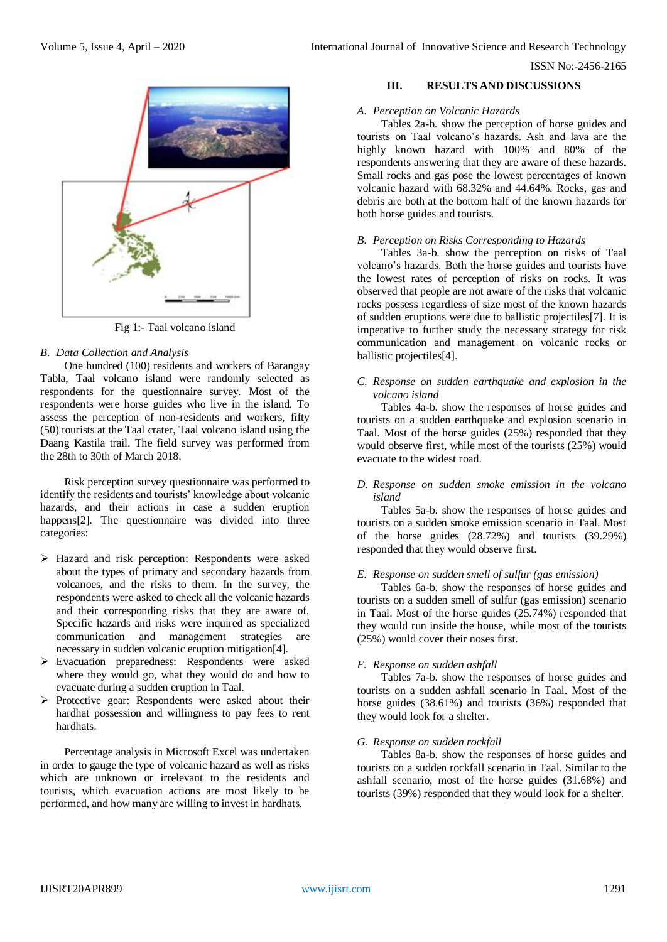

Fig 1:- Taal volcano island

## *B. Data Collection and Analysis*

One hundred (100) residents and workers of Barangay Tabla, Taal volcano island were randomly selected as respondents for the questionnaire survey. Most of the respondents were horse guides who live in the island. To assess the perception of non-residents and workers, fifty (50) tourists at the Taal crater, Taal volcano island using the Daang Kastila trail. The field survey was performed from the 28th to 30th of March 2018.

Risk perception survey questionnaire was performed to identify the residents and tourists' knowledge about volcanic hazards, and their actions in case a sudden eruption happens<sup>[2]</sup>. The questionnaire was divided into three categories:

- Hazard and risk perception: Respondents were asked about the types of primary and secondary hazards from volcanoes, and the risks to them. In the survey, the respondents were asked to check all the volcanic hazards and their corresponding risks that they are aware of. Specific hazards and risks were inquired as specialized communication and management strategies are necessary in sudden volcanic eruption mitigation[4].
- Evacuation preparedness: Respondents were asked where they would go, what they would do and how to evacuate during a sudden eruption in Taal.
- > Protective gear: Respondents were asked about their hardhat possession and willingness to pay fees to rent hardhats.

Percentage analysis in Microsoft Excel was undertaken in order to gauge the type of volcanic hazard as well as risks which are unknown or irrelevant to the residents and tourists, which evacuation actions are most likely to be performed, and how many are willing to invest in hardhats.

#### **III. RESULTS AND DISCUSSIONS**

#### *A. Perception on Volcanic Hazards*

Tables 2a-b. show the perception of horse guides and tourists on Taal volcano's hazards. Ash and lava are the highly known hazard with 100% and 80% of the respondents answering that they are aware of these hazards. Small rocks and gas pose the lowest percentages of known volcanic hazard with 68.32% and 44.64%. Rocks, gas and debris are both at the bottom half of the known hazards for both horse guides and tourists.

#### *B. Perception on Risks Corresponding to Hazards*

Tables 3a-b. show the perception on risks of Taal volcano's hazards. Both the horse guides and tourists have the lowest rates of perception of risks on rocks. It was observed that people are not aware of the risks that volcanic rocks possess regardless of size most of the known hazards of sudden eruptions were due to ballistic projectiles[7]. It is imperative to further study the necessary strategy for risk communication and management on volcanic rocks or ballistic projectiles[4].

#### *C. Response on sudden earthquake and explosion in the volcano island*

Tables 4a-b. show the responses of horse guides and tourists on a sudden earthquake and explosion scenario in Taal. Most of the horse guides (25%) responded that they would observe first, while most of the tourists (25%) would evacuate to the widest road.

## *D. Response on sudden smoke emission in the volcano island*

Tables 5a-b. show the responses of horse guides and tourists on a sudden smoke emission scenario in Taal. Most of the horse guides (28.72%) and tourists (39.29%) responded that they would observe first.

#### *E. Response on sudden smell of sulfur (gas emission)*

Tables 6a-b. show the responses of horse guides and tourists on a sudden smell of sulfur (gas emission) scenario in Taal. Most of the horse guides (25.74%) responded that they would run inside the house, while most of the tourists (25%) would cover their noses first.

#### *F. Response on sudden ashfall*

Tables 7a-b. show the responses of horse guides and tourists on a sudden ashfall scenario in Taal. Most of the horse guides (38.61%) and tourists (36%) responded that they would look for a shelter.

#### *G. Response on sudden rockfall*

Tables 8a-b. show the responses of horse guides and tourists on a sudden rockfall scenario in Taal. Similar to the ashfall scenario, most of the horse guides (31.68%) and tourists (39%) responded that they would look for a shelter.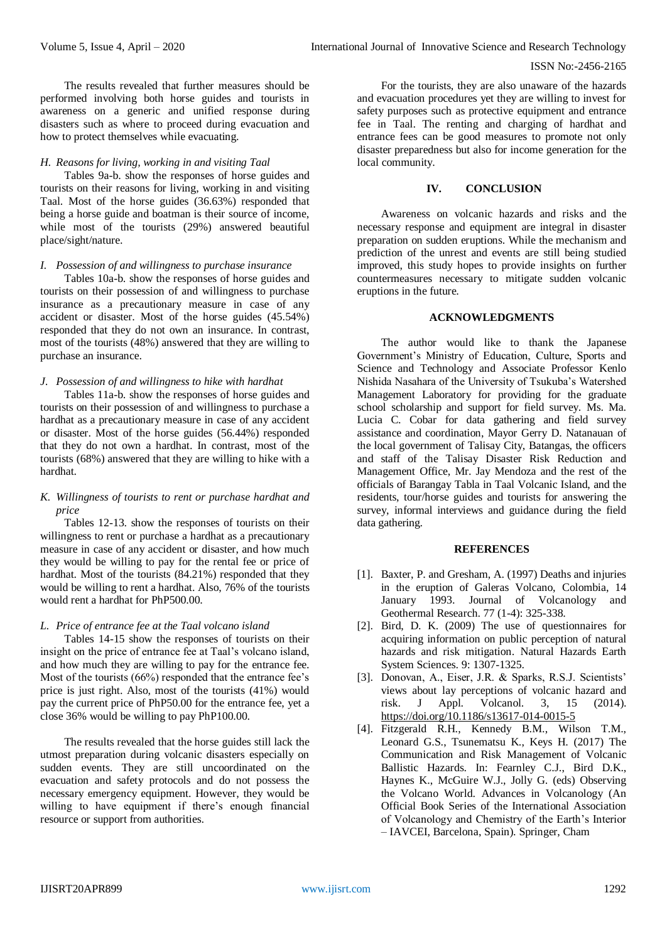The results revealed that further measures should be performed involving both horse guides and tourists in awareness on a generic and unified response during disasters such as where to proceed during evacuation and how to protect themselves while evacuating.

#### *H. Reasons for living, working in and visiting Taal*

Tables 9a-b. show the responses of horse guides and tourists on their reasons for living, working in and visiting Taal. Most of the horse guides (36.63%) responded that being a horse guide and boatman is their source of income, while most of the tourists (29%) answered beautiful place/sight/nature.

#### *I. Possession of and willingness to purchase insurance*

Tables 10a-b. show the responses of horse guides and tourists on their possession of and willingness to purchase insurance as a precautionary measure in case of any accident or disaster. Most of the horse guides (45.54%) responded that they do not own an insurance. In contrast, most of the tourists (48%) answered that they are willing to purchase an insurance.

#### *J. Possession of and willingness to hike with hardhat*

Tables 11a-b. show the responses of horse guides and tourists on their possession of and willingness to purchase a hardhat as a precautionary measure in case of any accident or disaster. Most of the horse guides (56.44%) responded that they do not own a hardhat. In contrast, most of the tourists (68%) answered that they are willing to hike with a hardhat.

## *K. Willingness of tourists to rent or purchase hardhat and price*

Tables 12-13. show the responses of tourists on their willingness to rent or purchase a hardhat as a precautionary measure in case of any accident or disaster, and how much they would be willing to pay for the rental fee or price of hardhat. Most of the tourists (84.21%) responded that they would be willing to rent a hardhat. Also, 76% of the tourists would rent a hardhat for PhP500.00.

## *L. Price of entrance fee at the Taal volcano island*

Tables 14-15 show the responses of tourists on their insight on the price of entrance fee at Taal's volcano island, and how much they are willing to pay for the entrance fee. Most of the tourists (66%) responded that the entrance fee's price is just right. Also, most of the tourists (41%) would pay the current price of PhP50.00 for the entrance fee, yet a close 36% would be willing to pay PhP100.00.

The results revealed that the horse guides still lack the utmost preparation during volcanic disasters especially on sudden events. They are still uncoordinated on the evacuation and safety protocols and do not possess the necessary emergency equipment. However, they would be willing to have equipment if there's enough financial resource or support from authorities.

For the tourists, they are also unaware of the hazards and evacuation procedures yet they are willing to invest for safety purposes such as protective equipment and entrance fee in Taal. The renting and charging of hardhat and entrance fees can be good measures to promote not only disaster preparedness but also for income generation for the local community.

#### **IV. CONCLUSION**

Awareness on volcanic hazards and risks and the necessary response and equipment are integral in disaster preparation on sudden eruptions. While the mechanism and prediction of the unrest and events are still being studied improved, this study hopes to provide insights on further countermeasures necessary to mitigate sudden volcanic eruptions in the future.

#### **ACKNOWLEDGMENTS**

The author would like to thank the Japanese Government's Ministry of Education, Culture, Sports and Science and Technology and Associate Professor Kenlo Nishida Nasahara of the University of Tsukuba's Watershed Management Laboratory for providing for the graduate school scholarship and support for field survey. Ms. Ma. Lucia C. Cobar for data gathering and field survey assistance and coordination, Mayor Gerry D. Natanauan of the local government of Talisay City, Batangas, the officers and staff of the Talisay Disaster Risk Reduction and Management Office, Mr. Jay Mendoza and the rest of the officials of Barangay Tabla in Taal Volcanic Island, and the residents, tour/horse guides and tourists for answering the survey, informal interviews and guidance during the field data gathering.

#### **REFERENCES**

- [1]. Baxter, P. and Gresham, A. (1997) Deaths and injuries in the eruption of Galeras Volcano, Colombia, 14 January 1993. Journal of Volcanology and Geothermal Research. 77 (1-4): 325-338.
- [2]. Bird, D. K. (2009) The use of questionnaires for acquiring information on public perception of natural hazards and risk mitigation. Natural Hazards Earth System Sciences. 9: 1307-1325.
- [3]. Donovan, A., Eiser, J.R. & Sparks, R.S.J. Scientists' views about lay perceptions of volcanic hazard and risk. J Appl. Volcanol. 3, 15 (2014). <https://doi.org/10.1186/s13617-014-0015-5>
- [4]. Fitzgerald R.H., Kennedy B.M., Wilson T.M., Leonard G.S., Tsunematsu K., Keys H. (2017) The Communication and Risk Management of Volcanic Ballistic Hazards. In: Fearnley C.J., Bird D.K., Haynes K., McGuire W.J., Jolly G. (eds) Observing the Volcano World. Advances in Volcanology (An Official Book Series of the International Association of Volcanology and Chemistry of the Earth's Interior – IAVCEI, Barcelona, Spain). Springer, Cham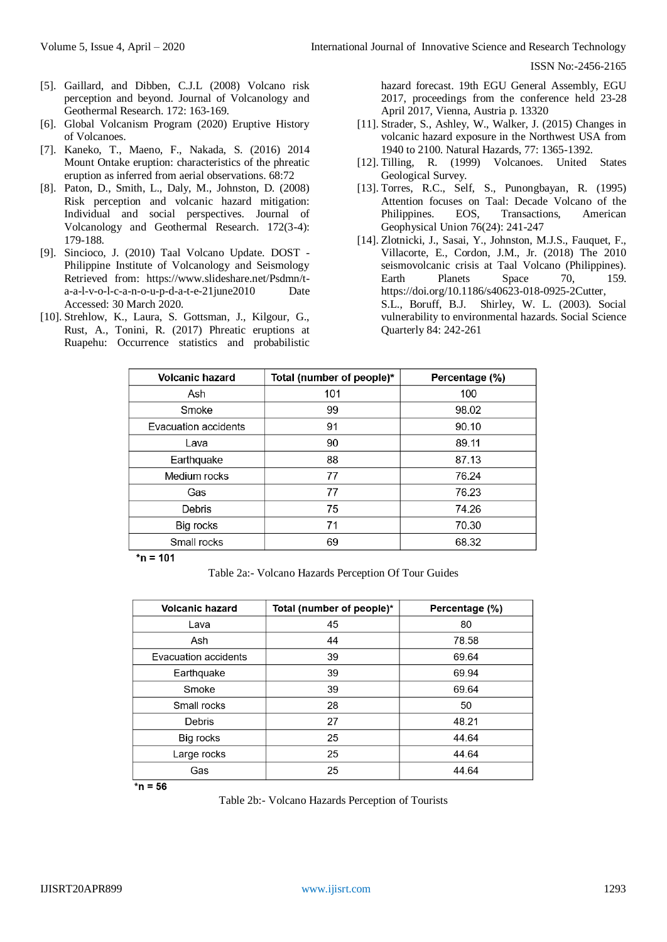- [5]. Gaillard, and Dibben, C.J.L (2008) Volcano risk perception and beyond. Journal of Volcanology and Geothermal Research. 172: 163-169.
- [6]. Global Volcanism Program (2020) Eruptive History of Volcanoes.
- [7]. Kaneko, T., Maeno, F., Nakada, S. (2016) 2014 Mount Ontake eruption: characteristics of the phreatic eruption as inferred from aerial observations. 68:72
- [8]. Paton, D., Smith, L., Daly, M., Johnston, D. (2008) Risk perception and volcanic hazard mitigation: Individual and social perspectives. Journal of Volcanology and Geothermal Research. 172(3-4): 179-188.
- [9]. Sincioco, J. (2010) Taal Volcano Update. DOST Philippine Institute of Volcanology and Seismology Retrieved from: https://www.slideshare.net/Psdmn/ta-a-l-v-o-l-c-a-n-o-u-p-d-a-t-e-21june2010 Date Accessed: 30 March 2020.
- [10]. Strehlow, K., Laura, S. Gottsman, J., Kilgour, G., Rust, A., Tonini, R. (2017) Phreatic eruptions at Ruapehu: Occurrence statistics and probabilistic

hazard forecast. 19th EGU General Assembly, EGU 2017, proceedings from the conference held 23-28 April 2017, Vienna, Austria p. 13320

- [11]. Strader, S., Ashley, W., Walker, J. (2015) Changes in volcanic hazard exposure in the Northwest USA from 1940 to 2100. Natural Hazards, 77: 1365-1392.
- [12]. Tilling, R. (1999) Volcanoes. United States Geological Survey.
- [13]. Torres, R.C., Self, S., Punongbayan, R. (1995) Attention focuses on Taal: Decade Volcano of the Philippines. EOS, Transactions, American Geophysical Union 76(24): 241-247
- [14]. Zlotnicki, J., Sasai, Y., Johnston, M.J.S., Fauquet, F., Villacorte, E., Cordon, J.M., Jr. (2018) The 2010 seismovolcanic crisis at Taal Volcano (Philippines). Earth Planets Space 70, 159. https://doi.org/10.1186/s40623-018-0925-2Cutter, S.L., Boruff, B.J. Shirley, W. L. (2003). Social vulnerability to environmental hazards. Social Science Quarterly 84: 242-261

| <b>Volcanic hazard</b> | Total (number of people)* | Percentage (%) |
|------------------------|---------------------------|----------------|
| Ash                    | 101                       | 100            |
| Smoke                  | 99                        | 98.02          |
| Evacuation accidents   | 91                        | 90.10          |
| Lava                   | 90                        | 89.11          |
| Earthquake             | 88                        | 87.13          |
| Medium rocks           | 77                        | 76.24          |
| Gas                    | 77                        | 76.23          |
| Debris                 | 75                        | 74.26          |
| Big rocks              | 71                        | 70.30          |
| Small rocks            | 69                        | 68.32          |

 $***n** = 101$ 

Table 2a:- Volcano Hazards Perception Of Tour Guides

| <b>Volcanic hazard</b> | Total (number of people)* | Percentage (%) |
|------------------------|---------------------------|----------------|
| Lava                   | 45                        | 80             |
| Ash                    | 44                        | 78.58          |
| Evacuation accidents   | 39                        | 69.64          |
| Earthquake             | 39                        | 69.94          |
| Smoke                  | 39                        | 69.64          |
| Small rocks            | 28                        | 50             |
| Debris                 | 27                        | 48.21          |
| Big rocks              | 25                        | 44.64          |
| Large rocks            | 25                        | 44.64          |
| Gas                    | 25                        | 44.64          |

 $***n** = 56$ 

Table 2b:- Volcano Hazards Perception of Tourists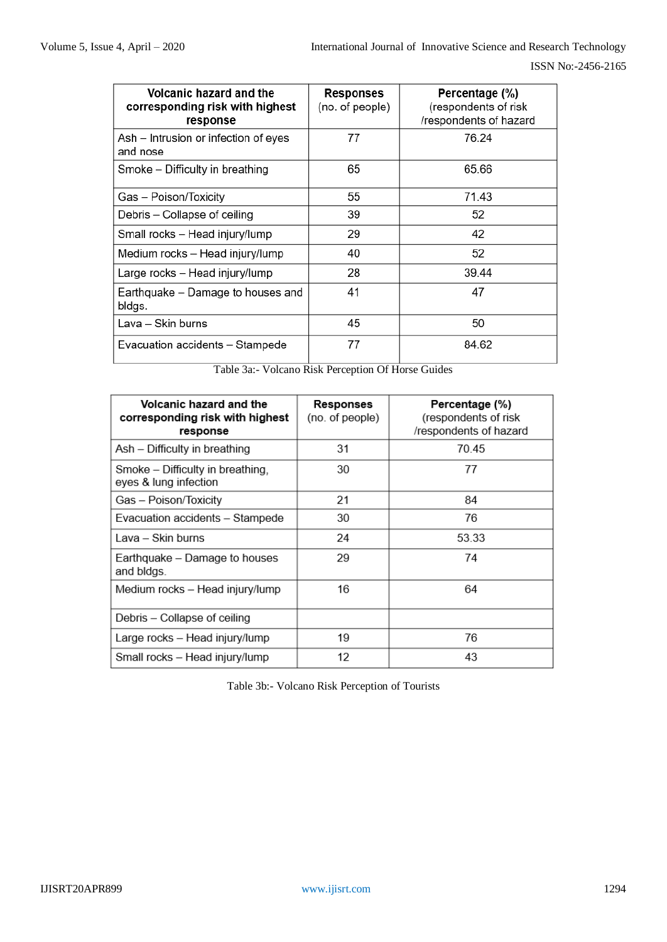| Volcanic hazard and the<br>corresponding risk with highest<br>response | <b>Responses</b><br>(no. of people) | Percentage (%)<br>(respondents of risk<br>/respondents of hazard |
|------------------------------------------------------------------------|-------------------------------------|------------------------------------------------------------------|
| Ash – Intrusion or infection of eyes<br>and nose                       | 77                                  | 76.24                                                            |
| Smoke – Difficulty in breathing                                        | 65                                  | 65.66                                                            |
| Gas – Poison/Toxicity                                                  | 55                                  | 71.43                                                            |
| Debris - Collapse of ceiling                                           | 39                                  | 52                                                               |
| Small rocks - Head injury/lump                                         | 29                                  | 42                                                               |
| Medium rocks – Head injury/lump                                        | 40                                  | 52                                                               |
| Large rocks – Head injury/lump                                         | 28                                  | 39.44                                                            |
| Earthquake – Damage to houses and<br>bldgs.                            | 41                                  | 47                                                               |
| Lava – Skin burns                                                      | 45                                  | 50                                                               |
| Evacuation accidents - Stampede                                        | 77                                  | 84.62                                                            |

Table 3a:- Volcano Risk Perception Of Horse Guides

| Volcanic hazard and the<br>corresponding risk with highest<br>response | Responses<br>(no. of people) | Percentage (%)<br>(respondents of risk<br>/respondents of hazard |
|------------------------------------------------------------------------|------------------------------|------------------------------------------------------------------|
| Ash - Difficulty in breathing                                          | 31                           | 70.45                                                            |
| Smoke - Difficulty in breathing,<br>eyes & lung infection              | 30                           | 77                                                               |
| Gas - Poison/Toxicity                                                  | 21                           | 84                                                               |
| Evacuation accidents - Stampede                                        | 30                           | 76                                                               |
| Lava – Skin burns                                                      | 24                           | 53.33                                                            |
| Earthquake – Damage to houses<br>and bldgs.                            | 29                           | 74                                                               |
| Medium rocks – Head injury/lump                                        | 16                           | 64                                                               |
| Debris - Collapse of ceiling                                           |                              |                                                                  |
| Large rocks - Head injury/lump                                         | 19                           | 76                                                               |
| Small rocks - Head injury/lump                                         | 12                           | 43                                                               |

Table 3b:- Volcano Risk Perception of Tourists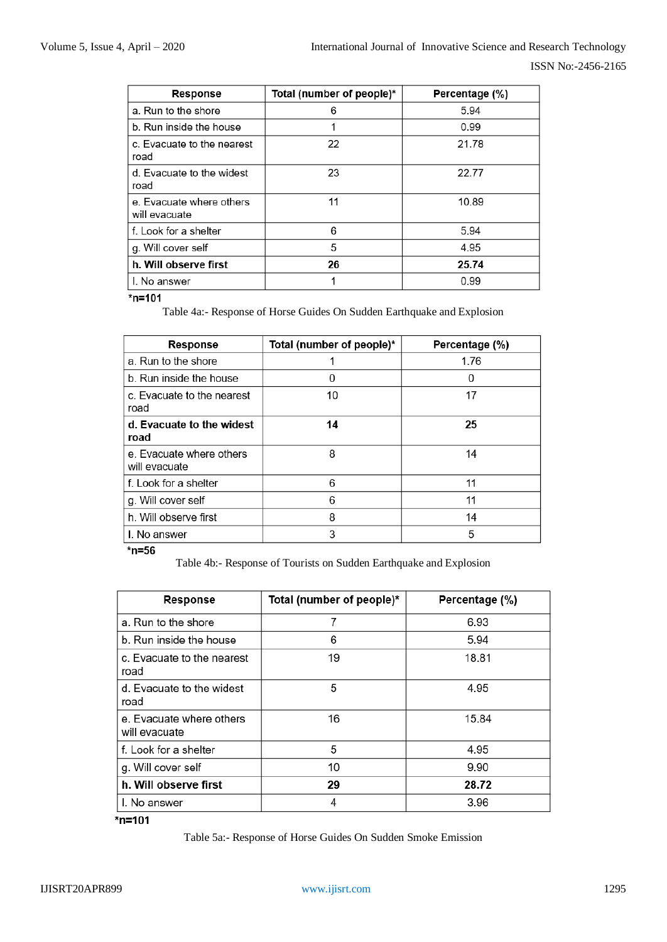| <b>Response</b>                           | Total (number of people)* | Percentage (%) |
|-------------------------------------------|---------------------------|----------------|
| a. Run to the shore                       | 6                         | 5.94           |
| b. Run inside the house                   |                           | 0.99           |
| c. Evacuate to the nearest<br>road        | 22                        | 21.78          |
| d. Evacuate to the widest<br>road         | 23                        | 22.77          |
| e. Evacuate where others<br>will evacuate | 11                        | 10.89          |
| f. Look for a shelter                     | 6                         | 5.94           |
| g. Will cover self                        | 5                         | 4.95           |
| h. Will observe first                     | 26                        | 25.74          |
| I. No answer                              |                           | 0.99           |

Table 4a:- Response of Horse Guides On Sudden Earthquake and Explosion

| <b>Response</b>                           | Total (number of people)* | Percentage (%) |
|-------------------------------------------|---------------------------|----------------|
| a. Run to the shore                       |                           | 1.76           |
| b. Run inside the house                   | ი                         | 0              |
| c. Evacuate to the nearest<br>road        | 10                        | 17             |
| d. Evacuate to the widest<br>road         | 14                        | 25             |
| e. Evacuate where others<br>will evacuate | 8                         | 14             |
| f. Look for a shelter                     | 6                         | 11             |
| g. Will cover self                        | 6                         | 11             |
| h. Will observe first                     | 8                         | 14             |
| I. No answer                              | 3                         | 5              |

 $*$ n=56

Table 4b:- Response of Tourists on Sudden Earthquake and Explosion

| <b>Response</b>                           | Total (number of people)* | Percentage (%) |
|-------------------------------------------|---------------------------|----------------|
| a. Run to the shore                       | 7                         | 6.93           |
| b. Run inside the house                   | 6                         | 5.94           |
| c. Evacuate to the nearest<br>road        | 19                        | 18.81          |
| d. Evacuate to the widest<br>road         | 5                         | 4.95           |
| e. Evacuate where others<br>will evacuate | 16                        | 15.84          |
| f. Look for a shelter                     | 5                         | 4.95           |
| g. Will cover self                        | 10                        | 9.90           |
| h. Will observe first                     | 29                        | 28.72          |
| I. No answer                              |                           | 3.96           |

\*n=101

Table 5a:- Response of Horse Guides On Sudden Smoke Emission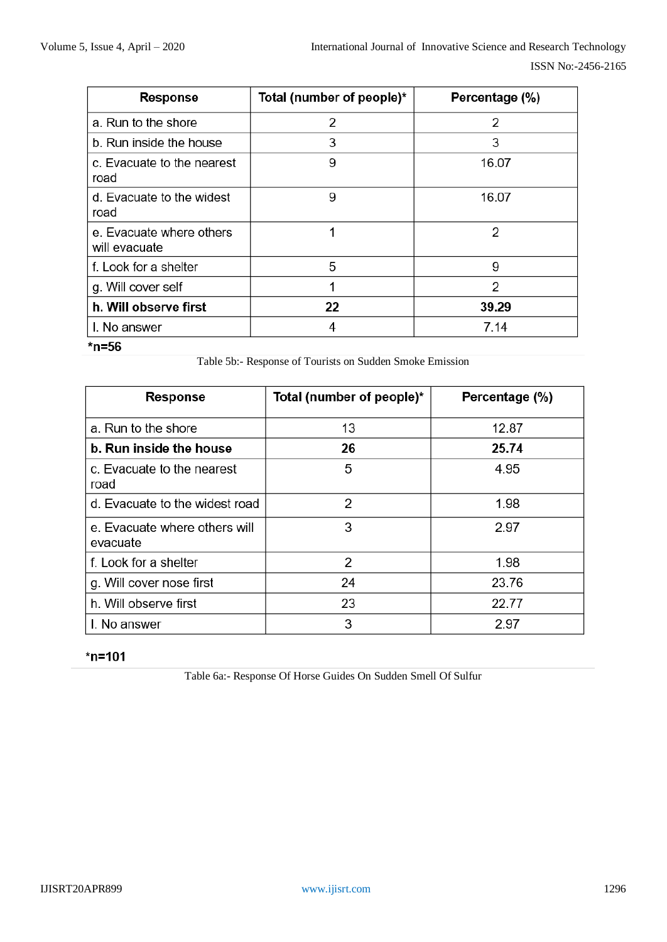| <b>Response</b>                           | Total (number of people)* | Percentage (%) |
|-------------------------------------------|---------------------------|----------------|
| a. Run to the shore                       | 2                         | 2              |
| b. Run inside the house                   | 3                         | 3              |
| c. Evacuate to the nearest<br>road        | 9                         | 16.07          |
| d. Evacuate to the widest<br>road         | 9                         | 16.07          |
| e. Evacuate where others<br>will evacuate |                           | 2              |
| f. Look for a shelter                     | 5                         | 9              |
| g. Will cover self                        |                           | 2              |
| h. Will observe first                     | 22                        | 39.29          |
| I. No answer                              | 4                         | 7.14           |

Table 5b:- Response of Tourists on Sudden Smoke Emission

| <b>Response</b>                           | Total (number of people)* | Percentage (%) |
|-------------------------------------------|---------------------------|----------------|
| a. Run to the shore                       | 13                        | 12.87          |
| b. Run inside the house                   | 26                        | 25.74          |
| c. Evacuate to the nearest<br>road        | 5                         | 4.95           |
| d. Evacuate to the widest road            | 2                         | 1.98           |
| e. Evacuate where others will<br>evacuate | 3                         | 2.97           |
| f. Look for a shelter                     | 2                         | 1.98           |
| g. Will cover nose first                  | 24                        | 23.76          |
| h. Will observe first                     | 23                        | 22.77          |
| I. No answer                              | 3                         | 2.97           |

# $*$ n=101

Table 6a:- Response Of Horse Guides On Sudden Smell Of Sulfur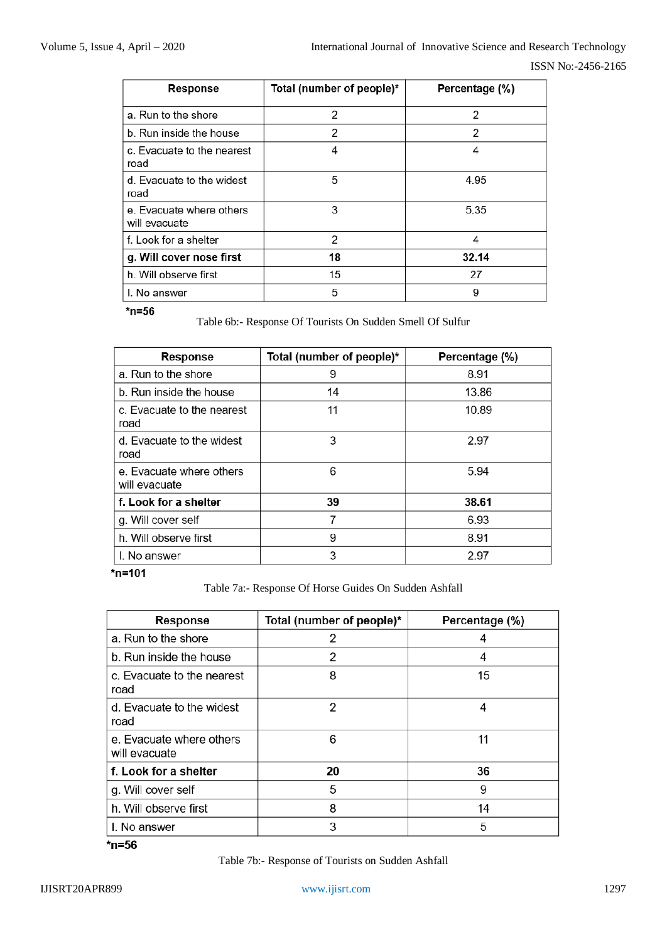| <b>Response</b>                           | Total (number of people)* | Percentage (%) |
|-------------------------------------------|---------------------------|----------------|
| a. Run to the shore                       | 2                         | 2              |
| b. Run inside the house                   | 2                         | 2              |
| c. Evacuate to the nearest<br>road        | 4                         | 4              |
| d. Evacuate to the widest<br>road         | 5                         | 4.95           |
| e. Evacuate where others<br>will evacuate | 3                         | 5.35           |
| f. Look for a shelter                     | 2                         | 4              |
| g. Will cover nose first                  | 18                        | 32.14          |
| h. Will observe first                     | 15                        | 27             |
| I. No answer                              | 5                         | 9              |

 $*$ n=56

Table 6b:- Response Of Tourists On Sudden Smell Of Sulfur

| <b>Response</b>                           | Total (number of people)* | Percentage (%) |
|-------------------------------------------|---------------------------|----------------|
| a. Run to the shore                       | 9                         | 8.91           |
| b. Run inside the house                   | 14                        | 13.86          |
| c. Evacuate to the nearest<br>road        | 11                        | 10.89          |
| d. Evacuate to the widest<br>road         | 3                         | 2.97           |
| e. Evacuate where others<br>will evacuate | 6                         | 5.94           |
| f. Look for a shelter                     | 39                        | 38.61          |
| g. Will cover self                        | 7                         | 6.93           |
| h. Will observe first                     | 9                         | 8.91           |
| I. No answer                              | 3                         | 2.97           |

 $*$ n=101

Table 7a:- Response Of Horse Guides On Sudden Ashfall

| <b>Response</b>                           | Total (number of people)* | Percentage (%) |
|-------------------------------------------|---------------------------|----------------|
| a. Run to the shore                       | 2                         |                |
| b. Run inside the house                   | 2                         | 4              |
| c. Evacuate to the nearest<br>road        | 8                         | 15             |
| d. Evacuate to the widest<br>road         | 2                         | 4              |
| e. Evacuate where others<br>will evacuate | 6                         | 11             |
| f. Look for a shelter                     | 20                        | 36             |
| g. Will cover self                        | 5                         | 9              |
| h. Will observe first                     | 8                         | 14             |
| I. No answer                              | 3                         | 5              |

 $*$ n=56

Table 7b:- Response of Tourists on Sudden Ashfall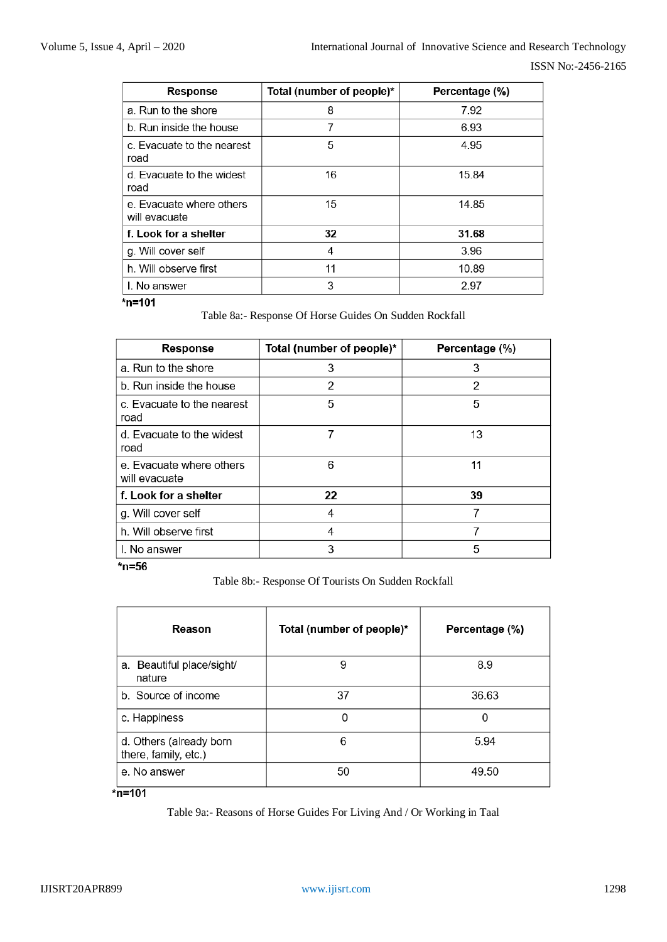| <b>Response</b>                           | Total (number of people)* | Percentage (%) |
|-------------------------------------------|---------------------------|----------------|
| a. Run to the shore                       | 8                         | 7.92           |
| b. Run inside the house                   | 7                         | 6.93           |
| c. Evacuate to the nearest<br>road        | 5                         | 4.95           |
| d. Evacuate to the widest<br>road         | 16                        | 15.84          |
| e. Evacuate where others<br>will evacuate | 15                        | 14.85          |
| f. Look for a shelter                     | 32                        | 31.68          |
| g. Will cover self                        | 4                         | 3.96           |
| h. Will observe first                     | 11                        | 10.89          |
| I. No answer                              | 3                         | 2.97           |

## $\frac{1}{2}$ n=101

Table 8a:- Response Of Horse Guides On Sudden Rockfall

| <b>Response</b>                           | Total (number of people)* | Percentage (%) |
|-------------------------------------------|---------------------------|----------------|
| a. Run to the shore                       | 3                         | 3              |
| b. Run inside the house                   | 2                         | 2              |
| c. Evacuate to the nearest<br>road        | 5                         | 5              |
| d. Evacuate to the widest<br>road         | 7                         | 13             |
| e. Evacuate where others<br>will evacuate | 6                         | 11             |
| f. Look for a shelter                     | 22                        | 39             |
| g. Will cover self                        | 4                         | 7              |
| h. Will observe first                     | 4                         | 7              |
| I. No answer                              | 3                         | 5              |

#### $*$ n=56

Table 8b:- Response Of Tourists On Sudden Rockfall

| Reason                                          | Total (number of people)* | Percentage (%) |
|-------------------------------------------------|---------------------------|----------------|
| a. Beautiful place/sight/<br>nature             | 9                         | 8.9            |
| b. Source of income                             | 37                        | 36.63          |
| c. Happiness                                    | U                         |                |
| d. Others (already born<br>there, family, etc.) | 6                         | 5.94           |
| e. No answer                                    | 50                        | 49.50          |

# $*n = 101$

Table 9a:- Reasons of Horse Guides For Living And / Or Working in Taal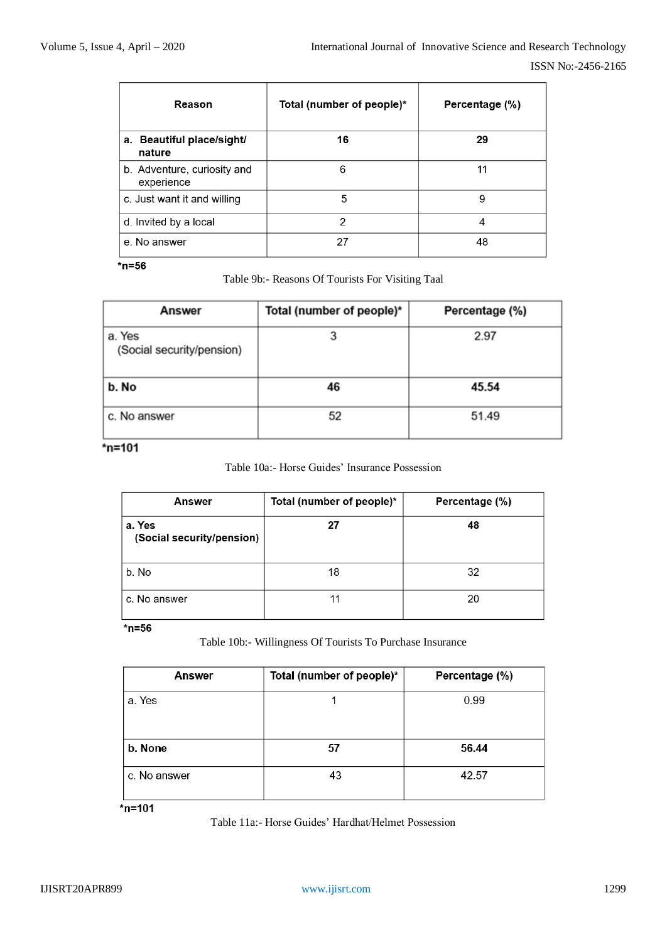| Reason                                    | Total (number of people)* | Percentage (%) |
|-------------------------------------------|---------------------------|----------------|
| a. Beautiful place/sight/<br>nature       | 16                        | 29             |
| b. Adventure, curiosity and<br>experience | 6                         | 11             |
| c. Just want it and willing               | 5                         | 9              |
| d. Invited by a local                     | 2                         | 4              |
| e. No answer                              | 27                        | 48             |

Table 9b:- Reasons Of Tourists For Visiting Taal

| Answer                              | Total (number of people)* | Percentage (%) |
|-------------------------------------|---------------------------|----------------|
| a. Yes<br>(Social security/pension) |                           | 2.97           |
| b. No                               | 46                        | 45.54          |
| c. No answer                        | 52                        | 51.49          |

# $*$ n=101

Table 10a:- Horse Guides' Insurance Possession

| Answer                              | Total (number of people)* | Percentage (%) |
|-------------------------------------|---------------------------|----------------|
| a. Yes<br>(Social security/pension) | 27                        | 48             |
| b. No                               | 18                        | 32             |
| c. No answer                        |                           | 20             |

# $*$ n=56

Table 10b:- Willingness Of Tourists To Purchase Insurance

| Answer       | Total (number of people)* | Percentage (%) |
|--------------|---------------------------|----------------|
| a. Yes       |                           | 0.99           |
| b. None      | 57                        | 56.44          |
| c. No answer | 43                        | 42.57          |

 $*n = 101$ 

Table 11a:- Horse Guides' Hardhat/Helmet Possession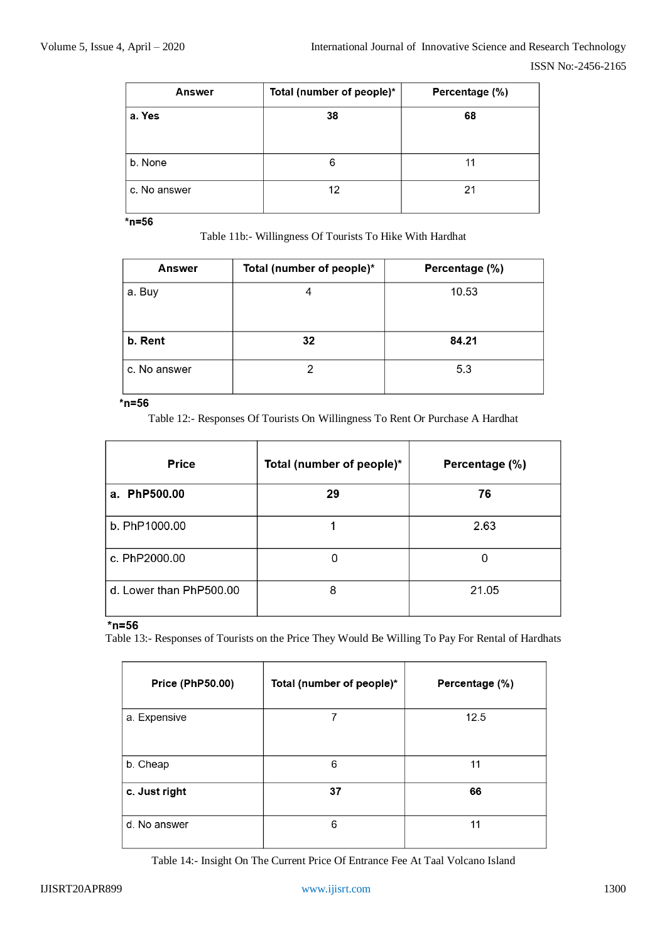| Answer       | Total (number of people)* | Percentage (%) |
|--------------|---------------------------|----------------|
| a. Yes       | 38                        | 68             |
|              |                           |                |
| b. None      | 6                         | 11             |
| c. No answer | 12                        | 21             |

Table 11b:- Willingness Of Tourists To Hike With Hardhat

| Answer       | Total (number of people)* | Percentage (%) |
|--------------|---------------------------|----------------|
| a. Buy       |                           | 10.53          |
| b. Rent      | 32                        | 84.21          |
| c. No answer |                           | 5.3            |

#### $*$ n=56

Table 12:- Responses Of Tourists On Willingness To Rent Or Purchase A Hardhat

| <b>Price</b>            | Total (number of people)* | Percentage (%) |
|-------------------------|---------------------------|----------------|
| a. PhP500.00            | 29                        | 76             |
| b. PhP1000.00           |                           | 2.63           |
| c. PhP2000.00           |                           | ი              |
| d. Lower than PhP500.00 | 8                         | 21.05          |

## $*$ n=56

Table 13:- Responses of Tourists on the Price They Would Be Willing To Pay For Rental of Hardhats

| <b>Price (PhP50.00)</b> | Total (number of people)* | Percentage (%) |
|-------------------------|---------------------------|----------------|
| a. Expensive            | 7                         | 12.5           |
| b. Cheap                | 6                         | 11             |
| c. Just right           | 37                        | 66             |
| d. No answer            | 6                         | 11             |

Table 14:- Insight On The Current Price Of Entrance Fee At Taal Volcano Island